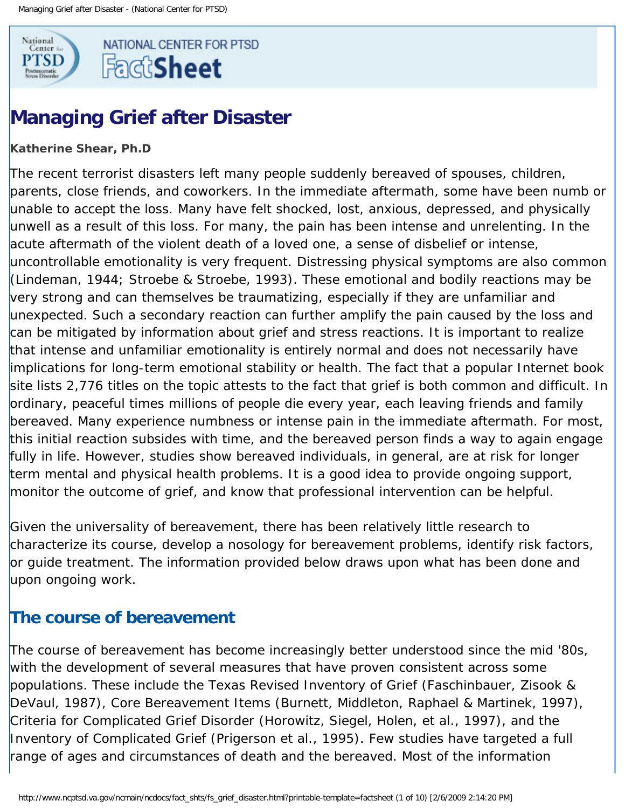

# **Managing Grief after Disaster**

#### **Katherine Shear, Ph.D**

The recent terrorist disasters left many people suddenly bereaved of spouses, children, parents, close friends, and coworkers. In the immediate aftermath, some have been numb or unable to accept the loss. Many have felt shocked, lost, anxious, depressed, and physically unwell as a result of this loss. For many, the pain has been intense and unrelenting. In the acute aftermath of the violent death of a loved one, a sense of disbelief or intense, uncontrollable emotionality is very frequent. Distressing physical symptoms are also common (Lindeman, 1944; Stroebe & Stroebe, 1993). These emotional and bodily reactions may be very strong and can themselves be traumatizing, especially if they are unfamiliar and unexpected. Such a secondary reaction can further amplify the pain caused by the loss and can be mitigated by information about grief and stress reactions. It is important to realize that intense and unfamiliar emotionality is entirely normal and does not necessarily have implications for long-term emotional stability or health. The fact that a popular Internet book site lists 2,776 titles on the topic attests to the fact that grief is both common and difficult. In ordinary, peaceful times millions of people die every year, each leaving friends and family bereaved. Many experience numbness or intense pain in the immediate aftermath. For most, this initial reaction subsides with time, and the bereaved person finds a way to again engage fully in life. However, studies show bereaved individuals, in general, are at risk for longer term mental and physical health problems. It is a good idea to provide ongoing support, monitor the outcome of grief, and know that professional intervention can be helpful.

Given the universality of bereavement, there has been relatively little research to characterize its course, develop a nosology for bereavement problems, identify risk factors, or guide treatment. The information provided below draws upon what has been done and upon ongoing work.

### **The course of bereavement**

The course of bereavement has become increasingly better understood since the mid '80s, with the development of several measures that have proven consistent across some populations. These include the Texas Revised Inventory of Grief (Faschinbauer, Zisook & DeVaul, 1987), Core Bereavement Items (Burnett, Middleton, Raphael & Martinek, 1997), Criteria for Complicated Grief Disorder (Horowitz, Siegel, Holen, et al., 1997), and the Inventory of Complicated Grief (Prigerson et al., 1995). Few studies have targeted a full range of ages and circumstances of death and the bereaved. Most of the information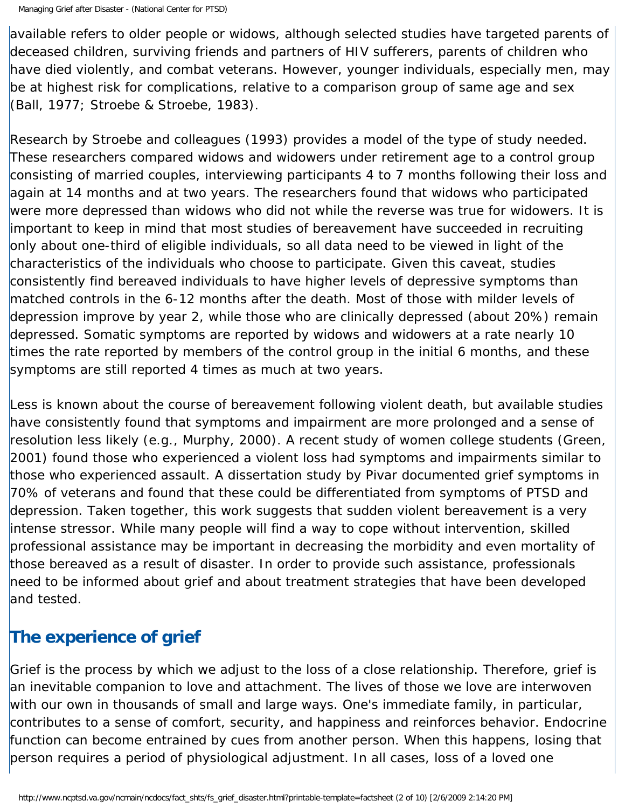available refers to older people or widows, although selected studies have targeted parents of deceased children, surviving friends and partners of HIV sufferers, parents of children who have died violently, and combat veterans. However, younger individuals, especially men, may be at highest risk for complications, relative to a comparison group of same age and sex (Ball, 1977; Stroebe & Stroebe, 1983).

Research by Stroebe and colleagues (1993) provides a model of the type of study needed. These researchers compared widows and widowers under retirement age to a control group consisting of married couples, interviewing participants 4 to 7 months following their loss and again at 14 months and at two years. The researchers found that widows who participated were more depressed than widows who did not while the reverse was true for widowers. It is important to keep in mind that most studies of bereavement have succeeded in recruiting only about one-third of eligible individuals, so all data need to be viewed in light of the characteristics of the individuals who choose to participate. Given this caveat, studies consistently find bereaved individuals to have higher levels of depressive symptoms than matched controls in the 6-12 months after the death. Most of those with milder levels of depression improve by year 2, while those who are clinically depressed (about 20%) remain depressed. Somatic symptoms are reported by widows and widowers at a rate nearly 10 times the rate reported by members of the control group in the initial 6 months, and these symptoms are still reported 4 times as much at two years.

Less is known about the course of bereavement following violent death, but available studies have consistently found that symptoms and impairment are more prolonged and a sense of resolution less likely (e.g., Murphy, 2000). A recent study of women college students (Green, 2001) found those who experienced a violent loss had symptoms and impairments similar to those who experienced assault. A dissertation study by Pivar documented grief symptoms in 70% of veterans and found that these could be differentiated from symptoms of PTSD and depression. Taken together, this work suggests that sudden violent bereavement is a very intense stressor. While many people will find a way to cope without intervention, skilled professional assistance may be important in decreasing the morbidity and even mortality of those bereaved as a result of disaster. In order to provide such assistance, professionals need to be informed about grief and about treatment strategies that have been developed and tested.

## **The experience of grief**

Grief is the process by which we adjust to the loss of a close relationship. Therefore, grief is an inevitable companion to love and attachment. The lives of those we love are interwoven with our own in thousands of small and large ways. One's immediate family, in particular, contributes to a sense of comfort, security, and happiness and reinforces behavior. Endocrine function can become entrained by cues from another person. When this happens, losing that person requires a period of physiological adjustment. In all cases, loss of a loved one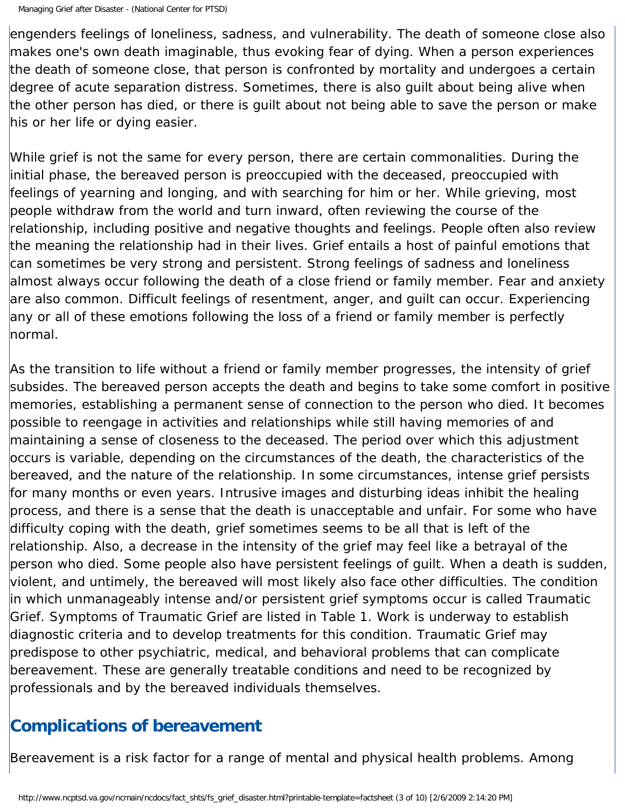engenders feelings of loneliness, sadness, and vulnerability. The death of someone close also makes one's own death imaginable, thus evoking fear of dying. When a person experiences the death of someone close, that person is confronted by mortality and undergoes a certain degree of acute separation distress. Sometimes, there is also guilt about being alive when the other person has died, or there is guilt about not being able to save the person or make his or her life or dying easier.

While grief is not the same for every person, there are certain commonalities. During the initial phase, the bereaved person is preoccupied with the deceased, preoccupied with feelings of yearning and longing, and with searching for him or her. While grieving, most people withdraw from the world and turn inward, often reviewing the course of the relationship, including positive and negative thoughts and feelings. People often also review the meaning the relationship had in their lives. Grief entails a host of painful emotions that can sometimes be very strong and persistent. Strong feelings of sadness and loneliness almost always occur following the death of a close friend or family member. Fear and anxiety are also common. Difficult feelings of resentment, anger, and guilt can occur. Experiencing any or all of these emotions following the loss of a friend or family member is perfectly normal.

As the transition to life without a friend or family member progresses, the intensity of grief subsides. The bereaved person accepts the death and begins to take some comfort in positive memories, establishing a permanent sense of connection to the person who died. It becomes possible to reengage in activities and relationships while still having memories of and maintaining a sense of closeness to the deceased. The period over which this adjustment occurs is variable, depending on the circumstances of the death, the characteristics of the bereaved, and the nature of the relationship. In some circumstances, intense grief persists for many months or even years. Intrusive images and disturbing ideas inhibit the healing process, and there is a sense that the death is unacceptable and unfair. For some who have difficulty coping with the death, grief sometimes seems to be all that is left of the relationship. Also, a decrease in the intensity of the grief may feel like a betrayal of the person who died. Some people also have persistent feelings of guilt. When a death is sudden, violent, and untimely, the bereaved will most likely also face other difficulties. The condition in which unmanageably intense and/or persistent grief symptoms occur is called Traumatic Grief. Symptoms of Traumatic Grief are listed in Table 1. Work is underway to establish diagnostic criteria and to develop treatments for this condition. Traumatic Grief may predispose to other psychiatric, medical, and behavioral problems that can complicate bereavement. These are generally treatable conditions and need to be recognized by professionals and by the bereaved individuals themselves.

### **Complications of bereavement**

Bereavement is a risk factor for a range of mental and physical health problems. Among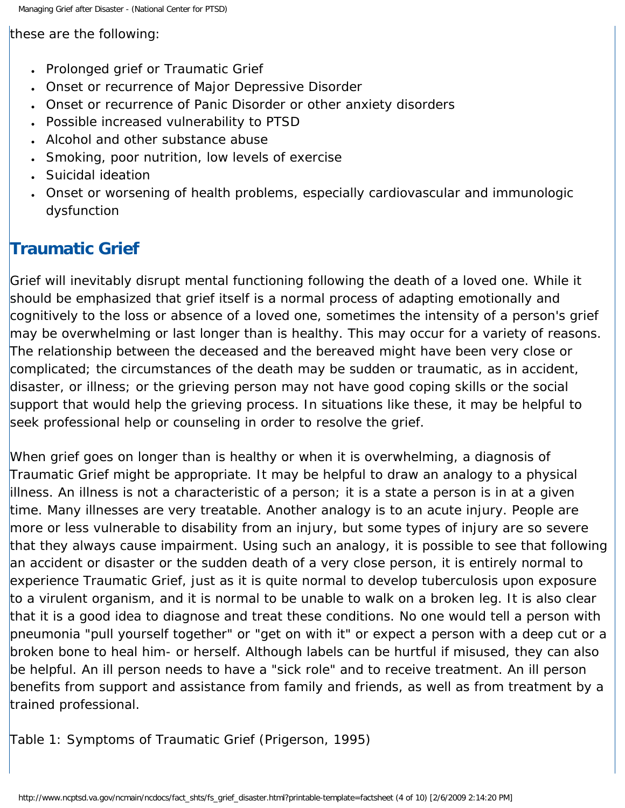Managing Grief after Disaster - (National Center for PTSD)

these are the following:

- Prolonged grief or Traumatic Grief
- Onset or recurrence of Major Depressive Disorder
- Onset or recurrence of Panic Disorder or other anxiety disorders
- Possible increased vulnerability to PTSD
- Alcohol and other substance abuse
- Smoking, poor nutrition, low levels of exercise
- Suicidal ideation
- Onset or worsening of health problems, especially cardiovascular and immunologic dysfunction

### **Traumatic Grief**

Grief will inevitably disrupt mental functioning following the death of a loved one. While it should be emphasized that grief itself is a normal process of adapting emotionally and cognitively to the loss or absence of a loved one, sometimes the intensity of a person's grief may be overwhelming or last longer than is healthy. This may occur for a variety of reasons. The relationship between the deceased and the bereaved might have been very close or complicated; the circumstances of the death may be sudden or traumatic, as in accident, disaster, or illness; or the grieving person may not have good coping skills or the social support that would help the grieving process. In situations like these, it may be helpful to seek professional help or counseling in order to resolve the grief.

When grief goes on longer than is healthy or when it is overwhelming, a diagnosis of Traumatic Grief might be appropriate. It may be helpful to draw an analogy to a physical illness. An illness is not a characteristic of a person; it is a state a person is in at a given time. Many illnesses are very treatable. Another analogy is to an acute injury. People are more or less vulnerable to disability from an injury, but some types of injury are so severe that they always cause impairment. Using such an analogy, it is possible to see that following an accident or disaster or the sudden death of a very close person, it is entirely normal to experience Traumatic Grief, just as it is quite normal to develop tuberculosis upon exposure to a virulent organism, and it is normal to be unable to walk on a broken leg. It is also clear that it is a good idea to diagnose and treat these conditions. No one would tell a person with pneumonia "pull yourself together" or "get on with it" or expect a person with a deep cut or a broken bone to heal him- or herself. Although labels can be hurtful if misused, they can also be helpful. An ill person needs to have a "sick role" and to receive treatment. An ill person benefits from support and assistance from family and friends, as well as from treatment by a trained professional.

Table 1: Symptoms of Traumatic Grief (Prigerson, 1995)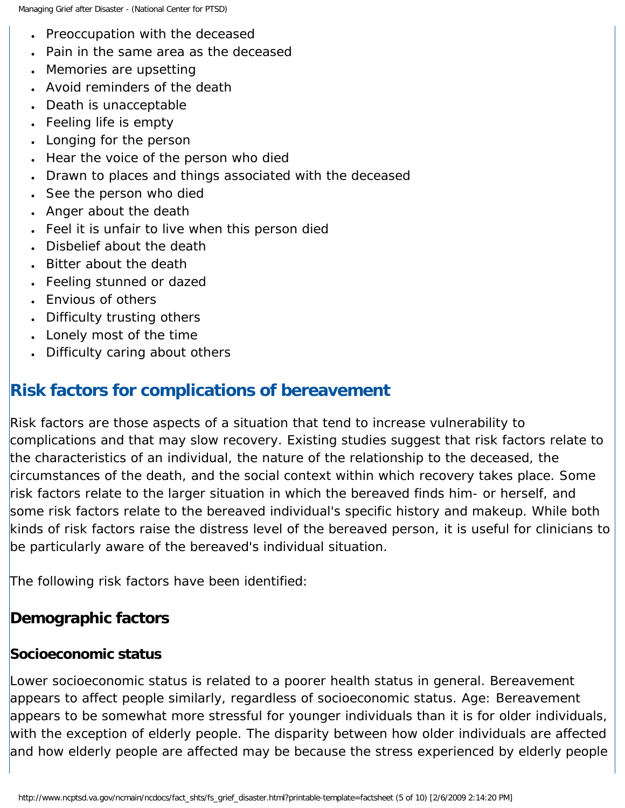- Preoccupation with the deceased
- Pain in the same area as the deceased
- Memories are upsetting
- Avoid reminders of the death
- Death is unacceptable
- Feeling life is empty
- Longing for the person
- Hear the voice of the person who died
- Drawn to places and things associated with the deceased
- See the person who died
- Anger about the death
- Feel it is unfair to live when this person died
- Disbelief about the death
- Bitter about the death
- Feeling stunned or dazed
- Envious of others
- Difficulty trusting others
- Lonely most of the time
- Difficulty caring about others

### **Risk factors for complications of bereavement**

Risk factors are those aspects of a situation that tend to increase vulnerability to complications and that may slow recovery. Existing studies suggest that risk factors relate to the characteristics of an individual, the nature of the relationship to the deceased, the circumstances of the death, and the social context within which recovery takes place. Some risk factors relate to the larger situation in which the bereaved finds him- or herself, and some risk factors relate to the bereaved individual's specific history and makeup. While both kinds of risk factors raise the distress level of the bereaved person, it is useful for clinicians to be particularly aware of the bereaved's individual situation.

The following risk factors have been identified:

### **Demographic factors**

#### **Socioeconomic status**

Lower socioeconomic status is related to a poorer health status in general. Bereavement appears to affect people similarly, regardless of socioeconomic status. Age: Bereavement appears to be somewhat more stressful for younger individuals than it is for older individuals, with the exception of elderly people. The disparity between how older individuals are affected and how elderly people are affected may be because the stress experienced by elderly people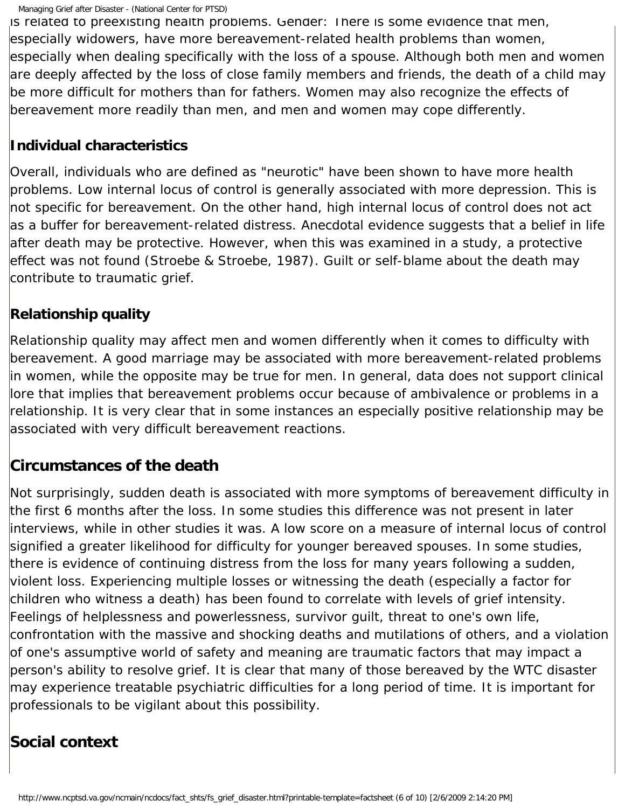is related to preexisting health problems. Gender: There is some evidence that men, especially widowers, have more bereavement-related health problems than women, especially when dealing specifically with the loss of a spouse. Although both men and women are deeply affected by the loss of close family members and friends, the death of a child may be more difficult for mothers than for fathers. Women may also recognize the effects of bereavement more readily than men, and men and women may cope differently.

#### **Individual characteristics**

Overall, individuals who are defined as "neurotic" have been shown to have more health problems. Low internal locus of control is generally associated with more depression. This is not specific for bereavement. On the other hand, high internal locus of control does not act as a buffer for bereavement-related distress. Anecdotal evidence suggests that a belief in life after death may be protective. However, when this was examined in a study, a protective effect was not found (Stroebe & Stroebe, 1987). Guilt or self-blame about the death may contribute to traumatic grief.

#### **Relationship quality**

Relationship quality may affect men and women differently when it comes to difficulty with bereavement. A good marriage may be associated with more bereavement-related problems in women, while the opposite may be true for men. In general, data does not support clinical lore that implies that bereavement problems occur because of ambivalence or problems in a relationship. It is very clear that in some instances an especially positive relationship may be associated with very difficult bereavement reactions.

### **Circumstances of the death**

Not surprisingly, sudden death is associated with more symptoms of bereavement difficulty in the first 6 months after the loss. In some studies this difference was not present in later interviews, while in other studies it was. A low score on a measure of internal locus of control signified a greater likelihood for difficulty for younger bereaved spouses. In some studies, there is evidence of continuing distress from the loss for many years following a sudden, violent loss. Experiencing multiple losses or witnessing the death (especially a factor for children who witness a death) has been found to correlate with levels of grief intensity. Feelings of helplessness and powerlessness, survivor guilt, threat to one's own life, confrontation with the massive and shocking deaths and mutilations of others, and a violation of one's assumptive world of safety and meaning are traumatic factors that may impact a person's ability to resolve grief. It is clear that many of those bereaved by the WTC disaster may experience treatable psychiatric difficulties for a long period of time. It is important for professionals to be vigilant about this possibility.

### **Social context**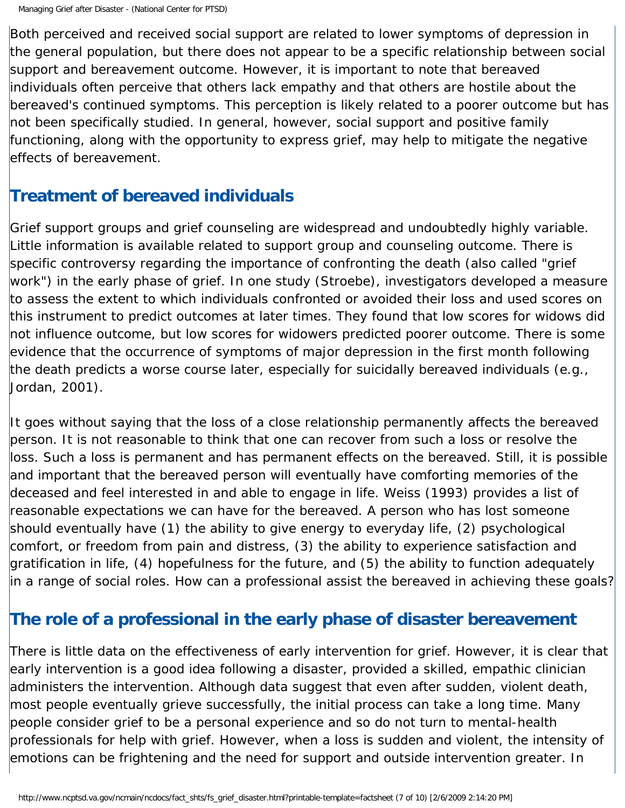Both perceived and received social support are related to lower symptoms of depression in the general population, but there does not appear to be a specific relationship between social support and bereavement outcome. However, it is important to note that bereaved individuals often perceive that others lack empathy and that others are hostile about the bereaved's continued symptoms. This perception is likely related to a poorer outcome but has not been specifically studied. In general, however, social support and positive family functioning, along with the opportunity to express grief, may help to mitigate the negative effects of bereavement.

### **Treatment of bereaved individuals**

Grief support groups and grief counseling are widespread and undoubtedly highly variable. Little information is available related to support group and counseling outcome. There is specific controversy regarding the importance of confronting the death (also called "grief work") in the early phase of grief. In one study (Stroebe), investigators developed a measure to assess the extent to which individuals confronted or avoided their loss and used scores on this instrument to predict outcomes at later times. They found that low scores for widows did not influence outcome, but low scores for widowers predicted poorer outcome. There is some evidence that the occurrence of symptoms of major depression in the first month following the death predicts a worse course later, especially for suicidally bereaved individuals (e.g., Jordan, 2001).

It goes without saying that the loss of a close relationship permanently affects the bereaved person. It is not reasonable to think that one can recover from such a loss or resolve the loss. Such a loss is permanent and has permanent effects on the bereaved. Still, it is possible and important that the bereaved person will eventually have comforting memories of the deceased and feel interested in and able to engage in life. Weiss (1993) provides a list of reasonable expectations we can have for the bereaved. A person who has lost someone should eventually have (1) the ability to give energy to everyday life, (2) psychological comfort, or freedom from pain and distress, (3) the ability to experience satisfaction and gratification in life, (4) hopefulness for the future, and (5) the ability to function adequately in a range of social roles. How can a professional assist the bereaved in achieving these goals?

### **The role of a professional in the early phase of disaster bereavement**

There is little data on the effectiveness of early intervention for grief. However, it is clear that early intervention is a good idea following a disaster, provided a skilled, empathic clinician administers the intervention. Although data suggest that even after sudden, violent death, most people eventually grieve successfully, the initial process can take a long time. Many people consider grief to be a personal experience and so do not turn to mental-health professionals for help with grief. However, when a loss is sudden and violent, the intensity of emotions can be frightening and the need for support and outside intervention greater. In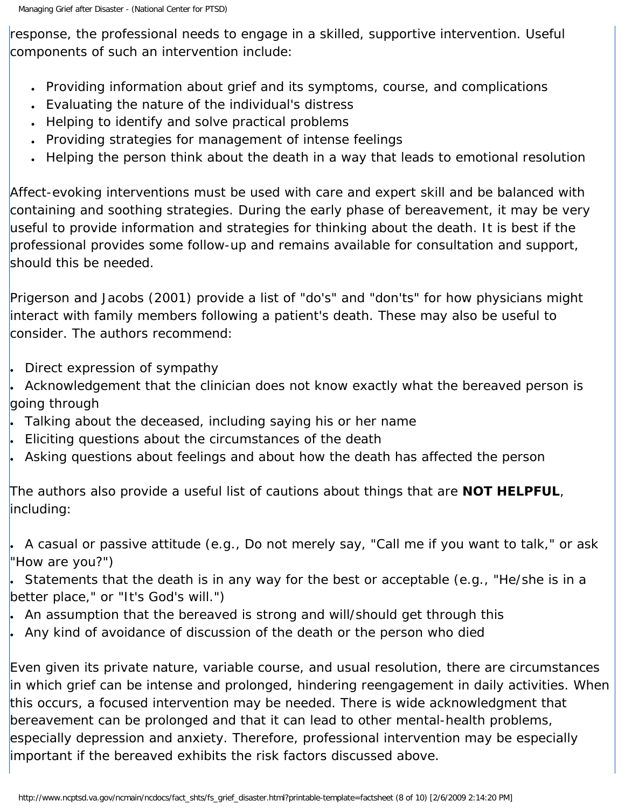response, the professional needs to engage in a skilled, supportive intervention. Useful components of such an intervention include:

- Providing information about grief and its symptoms, course, and complications
- Evaluating the nature of the individual's distress
- Helping to identify and solve practical problems
- Providing strategies for management of intense feelings
- Helping the person think about the death in a way that leads to emotional resolution

Affect-evoking interventions must be used with care and expert skill and be balanced with containing and soothing strategies. During the early phase of bereavement, it may be very useful to provide information and strategies for thinking about the death. It is best if the professional provides some follow-up and remains available for consultation and support, should this be needed.

Prigerson and Jacobs (2001) provide a list of "do's" and "don'ts" for how physicians might interact with family members following a patient's death. These may also be useful to consider. The authors recommend:

Direct expression of sympathy

Acknowledgement that the clinician does not know exactly what the bereaved person is going through

- Talking about the deceased, including saying his or her name
- Eliciting questions about the circumstances of the death
- Asking questions about feelings and about how the death has affected the person

The authors also provide a useful list of cautions about things that are **NOT HELPFUL**, including:

A casual or passive attitude (e.g., Do not merely say, "Call me if you want to talk," or ask "How are you?")

Statements that the death is in any way for the best or acceptable (e.g., "He/she is in a better place," or "It's God's will.")

- An assumption that the bereaved is strong and will/should get through this
- Any kind of avoidance of discussion of the death or the person who died

Even given its private nature, variable course, and usual resolution, there are circumstances in which grief can be intense and prolonged, hindering reengagement in daily activities. When this occurs, a focused intervention may be needed. There is wide acknowledgment that bereavement can be prolonged and that it can lead to other mental-health problems, especially depression and anxiety. Therefore, professional intervention may be especially important if the bereaved exhibits the risk factors discussed above.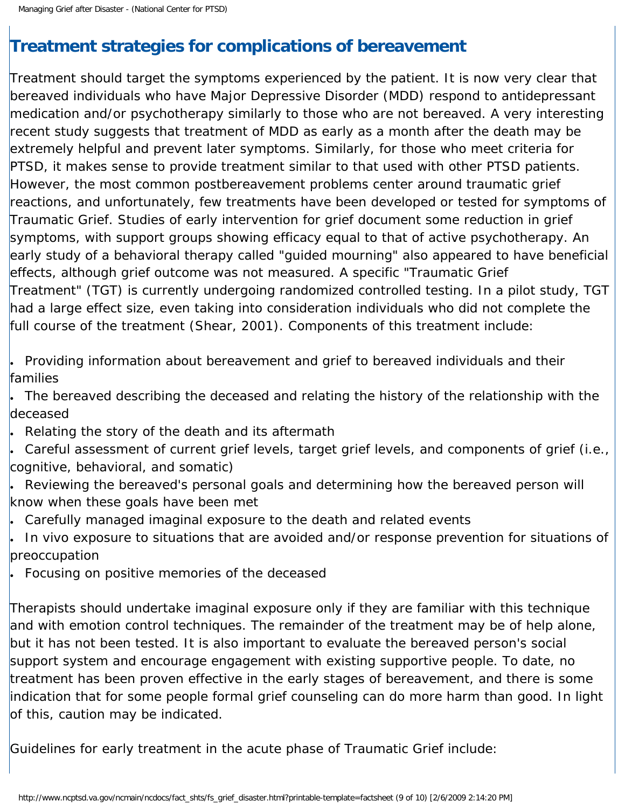### **Treatment strategies for complications of bereavement**

Treatment should target the symptoms experienced by the patient. It is now very clear that bereaved individuals who have Major Depressive Disorder (MDD) respond to antidepressant medication and/or psychotherapy similarly to those who are not bereaved. A very interesting recent study suggests that treatment of MDD as early as a month after the death may be extremely helpful and prevent later symptoms. Similarly, for those who meet criteria for PTSD, it makes sense to provide treatment similar to that used with other PTSD patients. However, the most common postbereavement problems center around traumatic grief reactions, and unfortunately, few treatments have been developed or tested for symptoms of Traumatic Grief. Studies of early intervention for grief document some reduction in grief symptoms, with support groups showing efficacy equal to that of active psychotherapy. An early study of a behavioral therapy called "guided mourning" also appeared to have beneficial effects, although grief outcome was not measured. A specific "Traumatic Grief Treatment" (TGT) is currently undergoing randomized controlled testing. In a pilot study, TGT had a large effect size, even taking into consideration individuals who did not complete the full course of the treatment (Shear, 2001). Components of this treatment include:

Providing information about bereavement and grief to bereaved individuals and their families

The bereaved describing the deceased and relating the history of the relationship with the deceased

Relating the story of the death and its aftermath

Careful assessment of current grief levels, target grief levels, and components of grief (i.e., cognitive, behavioral, and somatic)

Reviewing the bereaved's personal goals and determining how the bereaved person will know when these goals have been met

Carefully managed imaginal exposure to the death and related events

In vivo exposure to situations that are avoided and/or response prevention for situations of preoccupation

Focusing on positive memories of the deceased

Therapists should undertake imaginal exposure only if they are familiar with this technique and with emotion control techniques. The remainder of the treatment may be of help alone, but it has not been tested. It is also important to evaluate the bereaved person's social support system and encourage engagement with existing supportive people. To date, no treatment has been proven effective in the early stages of bereavement, and there is some indication that for some people formal grief counseling can do more harm than good. In light of this, caution may be indicated.

Guidelines for early treatment in the acute phase of Traumatic Grief include: